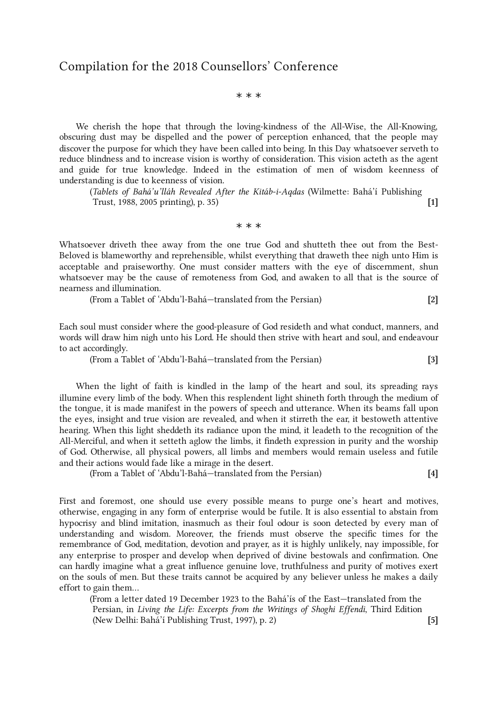## Compilation for the 2018 Counsellors' Conference

\* \* \*

We cherish the hope that through the loving-kindness of the All-Wise, the All-Knowing, obscuring dust may be dispelled and the power of perception enhanced, that the people may discover the purpose for which they have been called into being. In this Day whatsoever serveth to reduce blindness and to increase vision is worthy of consideration. This vision acteth as the agent and guide for true knowledge. Indeed in the estimation of men of wisdom keenness of understanding is due to keenness of vision.

(Tablets of Bahá'u'lláh Revealed After the Kitáb-i-Aqdas (Wilmette: Bahá'í Publishing Trust, 1988, 2005 printing), p. 35) [1]

\* \* \*

Whatsoever driveth thee away from the one true God and shutteth thee out from the Best-Beloved is blameworthy and reprehensible, whilst everything that draweth thee nigh unto Him is acceptable and praiseworthy. One must consider matters with the eye of discernment, shun whatsoever may be the cause of remoteness from God, and awaken to all that is the source of nearness and illumination.

(From a Tablet of 'Abdu'l‑Bahá—translated from the Persian) [2]

Each soul must consider where the good-pleasure of God resideth and what conduct, manners, and words will draw him nigh unto his Lord. He should then strive with heart and soul, and endeavour to act accordingly.

(From a Tablet of 'Abdu'l-Bahá—translated from the Persian) [3]

When the light of faith is kindled in the lamp of the heart and soul, its spreading rays illumine every limb of the body. When this resplendent light shineth forth through the medium of the tongue, it is made manifest in the powers of speech and utterance. When its beams fall upon the eyes, insight and true vision are revealed, and when it stirreth the ear, it bestoweth attentive hearing. When this light sheddeth its radiance upon the mind, it leadeth to the recognition of the All-Merciful, and when it setteth aglow the limbs, it findeth expression in purity and the worship of God. Otherwise, all physical powers, all limbs and members would remain useless and futile and their actions would fade like a mirage in the desert.

(From a Tablet of 'Abdu'l‑Bahá—translated from the Persian) [4]

First and foremost, one should use every possible means to purge one's heart and motives, otherwise, engaging in any form of enterprise would be futile. It is also essential to abstain from hypocrisy and blind imitation, inasmuch as their foul odour is soon detected by every man of understanding and wisdom. Moreover, the friends must observe the specific times for the remembrance of God, meditation, devotion and prayer, as it is highly unlikely, nay impossible, for any enterprise to prosper and develop when deprived of divine bestowals and confirmation. One can hardly imagine what a great influence genuine love, truthfulness and purity of motives exert on the souls of men. But these traits cannot be acquired by any believer unless he makes a daily effort to gain them...

(From a letter dated 19 December 1923 to the Bahá'ís of the East—translated from the Persian, in Living the Life: Excerpts from the Writings of Shoghi Effendi, Third Edition (New Delhi: Bahá'í Publishing Trust, 1997), p. 2) [5]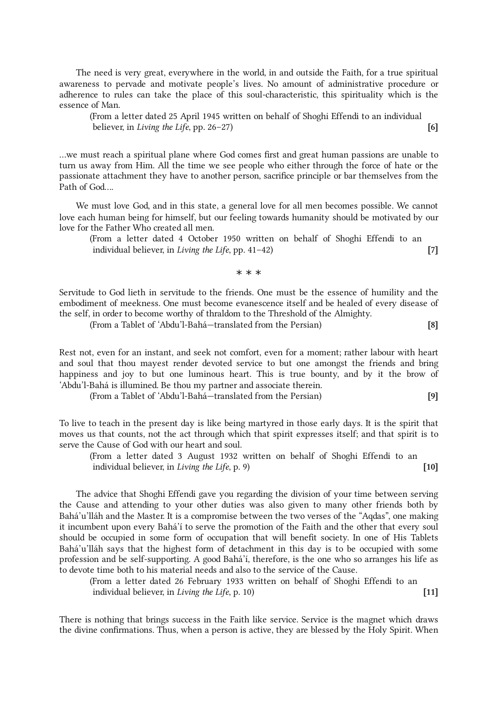The need is very great, everywhere in the world, in and outside the Faith, for a true spiritual awareness to pervade and motivate people's lives. No amount of administrative procedure or adherence to rules can take the place of this soul-characteristic, this spirituality which is the essence of Man.

(From a letter dated 25 April 1945 written on behalf of Shoghi Effendi to an individual believer, in Living the Life, pp.  $26-27$ ) [6]

…we must reach a spiritual plane where God comes first and great human passions are unable to turn us away from Him. All the time we see people who either through the force of hate or the passionate attachment they have to another person, sacrifice principle or bar themselves from the Path of God….

We must love God, and in this state, a general love for all men becomes possible. We cannot love each human being for himself, but our feeling towards humanity should be motivated by our love for the Father Who created all men.

(From a letter dated 4 October 1950 written on behalf of Shoghi Effendi to an individual believer, in *Living the Life*, pp. 41–42) [7]

\* \* \*

Servitude to God lieth in servitude to the friends. One must be the essence of humility and the embodiment of meekness. One must become evanescence itself and be healed of every disease of the self, in order to become worthy of thraldom to the Threshold of the Almighty.

(From a Tablet of 'Abdu'l‑Bahá—translated from the Persian) [8]

Rest not, even for an instant, and seek not comfort, even for a moment; rather labour with heart and soul that thou mayest render devoted service to but one amongst the friends and bring happiness and joy to but one luminous heart. This is true bounty, and by it the brow of 'Abdu'l‑Bahá is illumined. Be thou my partner and associate therein.

(From a Tablet of 'Abdu'l‑Bahá—translated from the Persian) [9]

To live to teach in the present day is like being martyred in those early days. It is the spirit that moves us that counts, not the act through which that spirit expresses itself; and that spirit is to serve the Cause of God with our heart and soul.

(From a letter dated 3 August 1932 written on behalf of Shoghi Effendi to an individual believer, in Living the Life, p. 9) [10]

The advice that Shoghi Effendi gave you regarding the division of your time between serving the Cause and attending to your other duties was also given to many other friends both by Bahá'u'lláh and the Master. It is a compromise between the two verses of the "Aqdas", one making it incumbent upon every Bahá'í to serve the promotion of the Faith and the other that every soul should be occupied in some form of occupation that will benefit society. In one of His Tablets Bahá'u'lláh says that the highest form of detachment in this day is to be occupied with some profession and be self-supporting. A good Bahá'í, therefore, is the one who so arranges his life as to devote time both to his material needs and also to the service of the Cause.

(From a letter dated 26 February 1933 written on behalf of Shoghi Effendi to an individual believer, in *Living the Life*, p. 10) [11]

There is nothing that brings success in the Faith like service. Service is the magnet which draws the divine confirmations. Thus, when a person is active, they are blessed by the Holy Spirit. When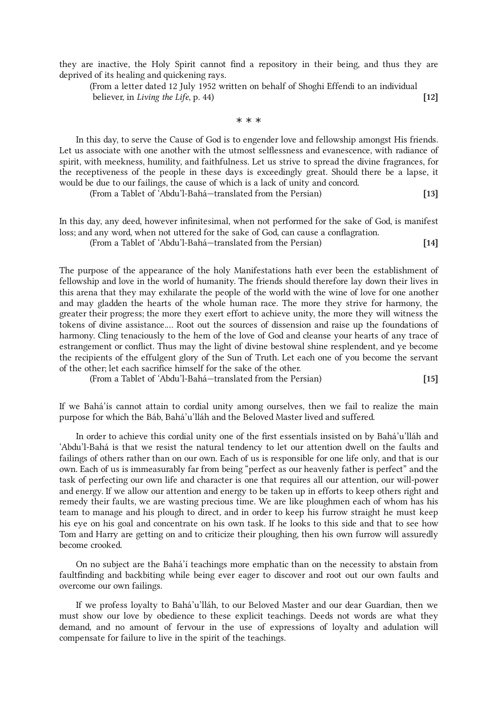they are inactive, the Holy Spirit cannot find a repository in their being, and thus they are deprived of its healing and quickening rays.

(From a letter dated 12 July 1952 written on behalf of Shoghi Effendi to an individual believer, in Living the Life, p. 44)  $[12]$ 

\* \* \*

In this day, to serve the Cause of God is to engender love and fellowship amongst His friends. Let us associate with one another with the utmost selflessness and evanescence, with radiance of spirit, with meekness, humility, and faithfulness. Let us strive to spread the divine fragrances, for the receptiveness of the people in these days is exceedingly great. Should there be a lapse, it would be due to our failings, the cause of which is a lack of unity and concord.

(From a Tablet of 'Abdu'l‑Bahá—translated from the Persian) [13]

In this day, any deed, however infinitesimal, when not performed for the sake of God, is manifest loss; and any word, when not uttered for the sake of God, can cause a conflagration.

(From a Tablet of 'Abdu'l‑Bahá—translated from the Persian) [14]

The purpose of the appearance of the holy Manifestations hath ever been the establishment of fellowship and love in the world of humanity. The friends should therefore lay down their lives in this arena that they may exhilarate the people of the world with the wine of love for one another and may gladden the hearts of the whole human race. The more they strive for harmony, the greater their progress; the more they exert effort to achieve unity, the more they will witness the tokens of divine assistance.… Root out the sources of dissension and raise up the foundations of harmony. Cling tenaciously to the hem of the love of God and cleanse your hearts of any trace of estrangement or conflict. Thus may the light of divine bestowal shine resplendent, and ye become the recipients of the effulgent glory of the Sun of Truth. Let each one of you become the servant of the other; let each sacrifice himself for the sake of the other.

(From a Tablet of 'Abdu'l‑Bahá—translated from the Persian) [15]

If we Bahá'ís cannot attain to cordial unity among ourselves, then we fail to realize the main purpose for which the Báb, Bahá'u'lláh and the Beloved Master lived and suffered.

In order to achieve this cordial unity one of the first essentials insisted on by Bahá'u'lláh and 'Abdu'l‑Bahá is that we resist the natural tendency to let our attention dwell on the faults and failings of others rather than on our own. Each of us is responsible for one life only, and that is our own. Each of us is immeasurably far from being "perfect as our heavenly father is perfect" and the task of perfecting our own life and character is one that requires all our attention, our will-power and energy. If we allow our attention and energy to be taken up in efforts to keep others right and remedy their faults, we are wasting precious time. We are like ploughmen each of whom has his team to manage and his plough to direct, and in order to keep his furrow straight he must keep his eye on his goal and concentrate on his own task. If he looks to this side and that to see how Tom and Harry are getting on and to criticize their ploughing, then his own furrow will assuredly become crooked.

On no subject are the Bahá'í teachings more emphatic than on the necessity to abstain from faultfinding and backbiting while being ever eager to discover and root out our own faults and overcome our own failings.

If we profess loyalty to Bahá'u'lláh, to our Beloved Master and our dear Guardian, then we must show our love by obedience to these explicit teachings. Deeds not words are what they demand, and no amount of fervour in the use of expressions of loyalty and adulation will compensate for failure to live in the spirit of the teachings.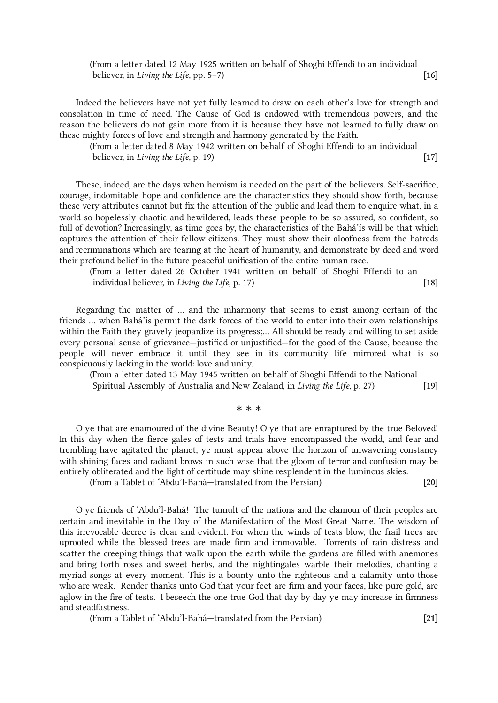(From a letter dated 12 May 1925 written on behalf of Shoghi Effendi to an individual believer, in Living the Life, pp.  $5-7$ ) [16]

Indeed the believers have not yet fully learned to draw on each other's love for strength and consolation in time of need. The Cause of God is endowed with tremendous powers, and the reason the believers do not gain more from it is because they have not learned to fully draw on these mighty forces of love and strength and harmony generated by the Faith.

(From a letter dated 8 May 1942 written on behalf of Shoghi Effendi to an individual believer, in Living the Life, p. 19)  $[17]$ 

These, indeed, are the days when heroism is needed on the part of the believers. Self-sacrifice, courage, indomitable hope and confidence are the characteristics they should show forth, because these very attributes cannot but fix the attention of the public and lead them to enquire what, in a world so hopelessly chaotic and bewildered, leads these people to be so assured, so confident, so full of devotion? Increasingly, as time goes by, the characteristics of the Bahá'ís will be that which captures the attention of their fellow-citizens. They must show their aloofness from the hatreds and recriminations which are tearing at the heart of humanity, and demonstrate by deed and word their profound belief in the future peaceful unification of the entire human race.

(From a letter dated 26 October 1941 written on behalf of Shoghi Effendi to an individual believer, in *Living the Life*, p. 17) [18]

Regarding the matter of ... and the inharmony that seems to exist among certain of the friends ... when Bahá'ís permit the dark forces of the world to enter into their own relationships within the Faith they gravely jeopardize its progress;... All should be ready and willing to set aside every personal sense of grievance—justified or unjustified—for the good of the Cause, because the people will never embrace it until they see in its community life mirrored what is so conspicuously lacking in the world: love and unity.

(From a letter dated 13 May 1945 written on behalf of Shoghi Effendi to the National Spiritual Assembly of Australia and New Zealand, in Living the Life, p. 27) [19]

\* \* \*

O ye that are enamoured of the divine Beauty! O ye that are enraptured by the true Beloved! In this day when the fierce gales of tests and trials have encompassed the world, and fear and trembling have agitated the planet, ye must appear above the horizon of unwavering constancy with shining faces and radiant brows in such wise that the gloom of terror and confusion may be entirely obliterated and the light of certitude may shine resplendent in the luminous skies.

(From a Tablet of 'Abdu'l‑Bahá—translated from the Persian) [20]

O ye friends of 'Abdu'l‑Bahá! The tumult of the nations and the clamour of their peoples are certain and inevitable in the Day of the Manifestation of the Most Great Name. The wisdom of this irrevocable decree is clear and evident. For when the winds of tests blow, the frail trees are uprooted while the blessed trees are made firm and immovable. Torrents of rain distress and scatter the creeping things that walk upon the earth while the gardens are filled with anemones and bring forth roses and sweet herbs, and the nightingales warble their melodies, chanting a myriad songs at every moment. This is a bounty unto the righteous and a calamity unto those who are weak. Render thanks unto God that your feet are firm and your faces, like pure gold, are aglow in the fire of tests. I beseech the one true God that day by day ye may increase in firmness and steadfastness.

(From a Tablet of 'Abdu'l‑Bahá—translated from the Persian) [21]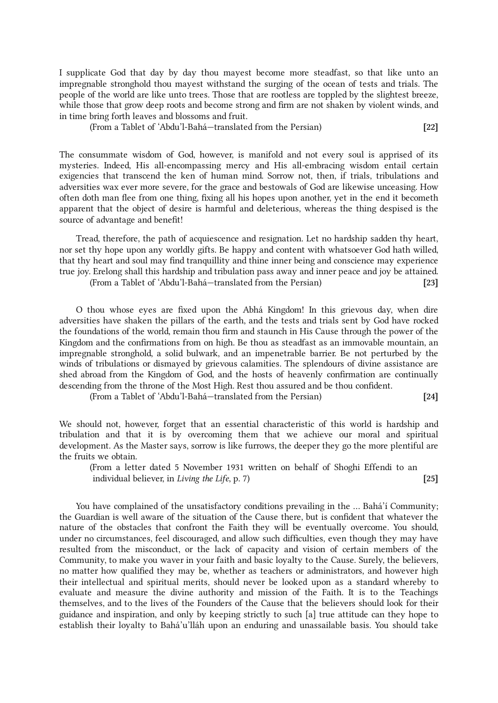I supplicate God that day by day thou mayest become more steadfast, so that like unto an impregnable stronghold thou mayest withstand the surging of the ocean of tests and trials. The people of the world are like unto trees. Those that are rootless are toppled by the slightest breeze, while those that grow deep roots and become strong and firm are not shaken by violent winds, and in time bring forth leaves and blossoms and fruit.

(From a Tablet of 'Abdu'l‑Bahá—translated from the Persian) [22]

The consummate wisdom of God, however, is manifold and not every soul is apprised of its mysteries. Indeed, His all-encompassing mercy and His all-embracing wisdom entail certain exigencies that transcend the ken of human mind. Sorrow not, then, if trials, tribulations and adversities wax ever more severe, for the grace and bestowals of God are likewise unceasing. How often doth man flee from one thing, fixing all his hopes upon another, yet in the end it becometh apparent that the object of desire is harmful and deleterious, whereas the thing despised is the source of advantage and benefit!

Tread, therefore, the path of acquiescence and resignation. Let no hardship sadden thy heart, nor set thy hope upon any worldly gifts. Be happy and content with whatsoever God hath willed, that thy heart and soul may find tranquillity and thine inner being and conscience may experience true joy. Erelong shall this hardship and tribulation pass away and inner peace and joy be attained.

(From a Tablet of 'Abdu'l‑Bahá—translated from the Persian) [23]

O thou whose eyes are fixed upon the Abhá Kingdom! In this grievous day, when dire adversities have shaken the pillars of the earth, and the tests and trials sent by God have rocked the foundations of the world, remain thou firm and staunch in His Cause through the power of the Kingdom and the confirmations from on high. Be thou as steadfast as an immovable mountain, an impregnable stronghold, a solid bulwark, and an impenetrable barrier. Be not perturbed by the winds of tribulations or dismayed by grievous calamities. The splendours of divine assistance are shed abroad from the Kingdom of God, and the hosts of heavenly confirmation are continually descending from the throne of the Most High. Rest thou assured and be thou confident.

(From a Tablet of 'Abdu'l‑Bahá—translated from the Persian) [24]

We should not, however, forget that an essential characteristic of this world is hardship and tribulation and that it is by overcoming them that we achieve our moral and spiritual development. As the Master says, sorrow is like furrows, the deeper they go the more plentiful are the fruits we obtain.

(From a letter dated 5 November 1931 written on behalf of Shoghi Effendi to an individual believer, in Living the Life, p. 7) [25]

You have complained of the unsatisfactory conditions prevailing in the ... Bahá'í Community; the Guardian is well aware of the situation of the Cause there, but is confident that whatever the nature of the obstacles that confront the Faith they will be eventually overcome. You should, under no circumstances, feel discouraged, and allow such difficulties, even though they may have resulted from the misconduct, or the lack of capacity and vision of certain members of the Community, to make you waver in your faith and basic loyalty to the Cause. Surely, the believers, no matter how qualified they may be, whether as teachers or administrators, and however high their intellectual and spiritual merits, should never be looked upon as a standard whereby to evaluate and measure the divine authority and mission of the Faith. It is to the Teachings themselves, and to the lives of the Founders of the Cause that the believers should look for their guidance and inspiration, and only by keeping strictly to such [a] true attitude can they hope to establish their loyalty to Bahá'u'lláh upon an enduring and unassailable basis. You should take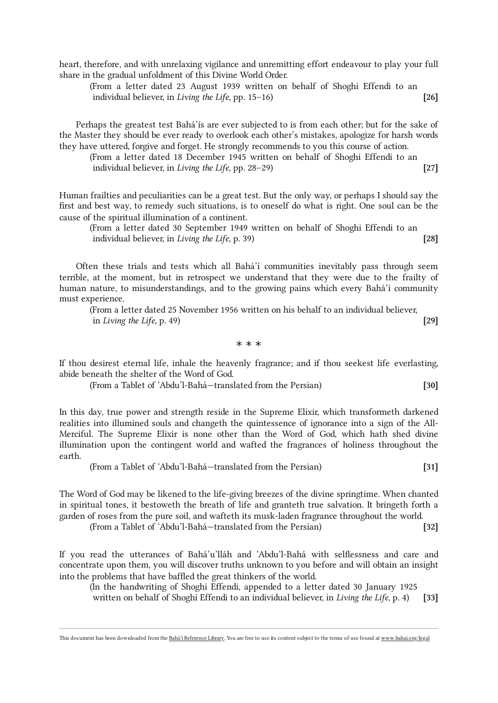heart, therefore, and with unrelaxing vigilance and unremitting effort endeavour to play your full share in the gradual unfoldment of this Divine World Order.

(From a letter dated 23 August 1939 written on behalf of Shoghi Effendi to an individual believer, in *Living the Life*, pp. 15–16) [26]

Perhaps the greatest test Bahá'ís are ever subjected to is from each other; but for the sake of the Master they should be ever ready to overlook each other's mistakes, apologize for harsh words they have uttered, forgive and forget. He strongly recommends to you this course of action.

(From a letter dated 18 December 1945 written on behalf of Shoghi Effendi to an individual believer, in *Living the Life*, pp. 28–29) [27]

Human frailties and peculiarities can be a great test. But the only way, or perhaps I should say the first and best way, to remedy such situations, is to oneself do what is right. One soul can be the cause of the spiritual illumination of a continent.

(From a letter dated 30 September 1949 written on behalf of Shoghi Effendi to an individual believer, in *Living the Life*, p. 39) [28]

Often these trials and tests which all Bahá'í communities inevitably pass through seem terrible, at the moment, but in retrospect we understand that they were due to the frailty of human nature, to misunderstandings, and to the growing pains which every Bahá'í community must experience.

(From a letter dated 25 November 1956 written on his behalf to an individual believer, in Living the Life, p. 49)  $[29]$ 

\* \* \*

If thou desirest eternal life, inhale the heavenly fragrance; and if thou seekest life everlasting, abide beneath the shelter of the Word of God.

(From a Tablet of 'Abdu'l-Bahá—translated from the Persian) [30]

In this day, true power and strength reside in the Supreme Elixir, which transformeth darkened realities into illumined souls and changeth the quintessence of ignorance into a sign of the All-Merciful. The Supreme Elixir is none other than the Word of God, which hath shed divine illumination upon the contingent world and wafted the fragrances of holiness throughout the earth.

(From a Tablet of 'Abdu'l‑Bahá—translated from the Persian) [31]

The Word of God may be likened to the life-giving breezes of the divine springtime. When chanted in spiritual tones, it bestoweth the breath of life and granteth true salvation. It bringeth forth a garden of roses from the pure soil, and wafteth its musk-laden fragrance throughout the world.

(From a Tablet of 'Abdu'l-Bahá—translated from the Persian) [32]

If you read the utterances of Bahá'u'lláh and 'Abdu'l-Bahá with selflessness and care and concentrate upon them, you will discover truths unknown to you before and will obtain an insight into the problems that have baffled the great thinkers of the world.

(In the handwriting of Shoghi Effendi, appended to a letter dated 30 January 1925

written on behalf of Shoghi Effendi to an individual believer, in Living the Life, p. 4) [33]

This document has been downloaded from the Bahá'í [Reference](http://www.bahai.org/library/) Library. You are free to use its content subject to the terms of use found at [www.bahai.org/legal](http://www.bahai.org/legal)